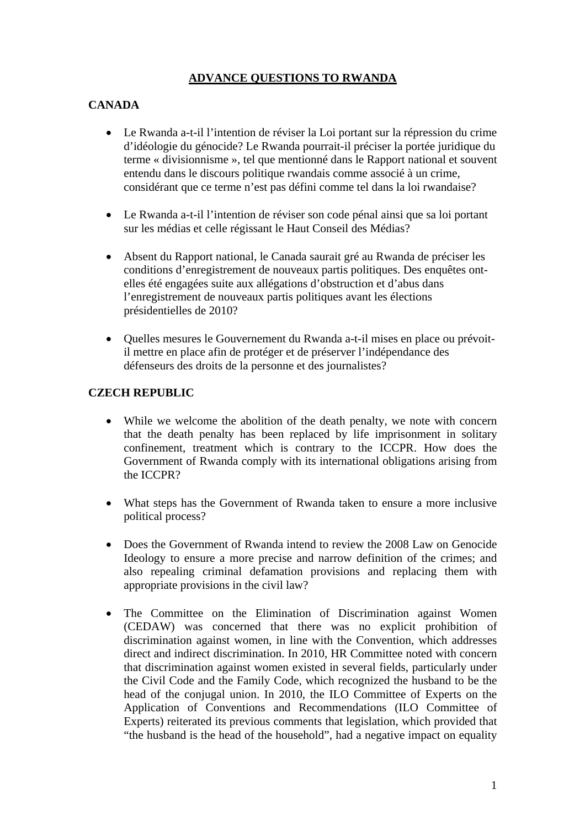# **ADVANCE QUESTIONS TO RWANDA**

# **CANADA**

- Le Rwanda a-t-il l'intention de réviser la Loi portant sur la répression du crime d'idéologie du génocide? Le Rwanda pourrait-il préciser la portée juridique du terme « divisionnisme », tel que mentionné dans le Rapport national et souvent entendu dans le discours politique rwandais comme associé à un crime, considérant que ce terme n'est pas défini comme tel dans la loi rwandaise?
- Le Rwanda a-t-il l'intention de réviser son code pénal ainsi que sa loi portant sur les médias et celle régissant le Haut Conseil des Médias?
- Absent du Rapport national, le Canada saurait gré au Rwanda de préciser les conditions d'enregistrement de nouveaux partis politiques. Des enquêtes ontelles été engagées suite aux allégations d'obstruction et d'abus dans l'enregistrement de nouveaux partis politiques avant les élections présidentielles de 2010?
- Quelles mesures le Gouvernement du Rwanda a-t-il mises en place ou prévoitil mettre en place afin de protéger et de préserver l'indépendance des défenseurs des droits de la personne et des journalistes?

## **CZECH REPUBLIC**

- While we welcome the abolition of the death penalty, we note with concern that the death penalty has been replaced by life imprisonment in solitary confinement, treatment which is contrary to the ICCPR. How does the Government of Rwanda comply with its international obligations arising from the ICCPR?
- What steps has the Government of Rwanda taken to ensure a more inclusive political process?
- Does the Government of Rwanda intend to review the 2008 Law on Genocide Ideology to ensure a more precise and narrow definition of the crimes; and also repealing criminal defamation provisions and replacing them with appropriate provisions in the civil law?
- The Committee on the Elimination of Discrimination against Women (CEDAW) was concerned that there was no explicit prohibition of discrimination against women, in line with the Convention, which addresses direct and indirect discrimination. In 2010, HR Committee noted with concern that discrimination against women existed in several fields, particularly under the Civil Code and the Family Code, which recognized the husband to be the head of the conjugal union. In 2010, the ILO Committee of Experts on the Application of Conventions and Recommendations (ILO Committee of Experts) reiterated its previous comments that legislation, which provided that "the husband is the head of the household", had a negative impact on equality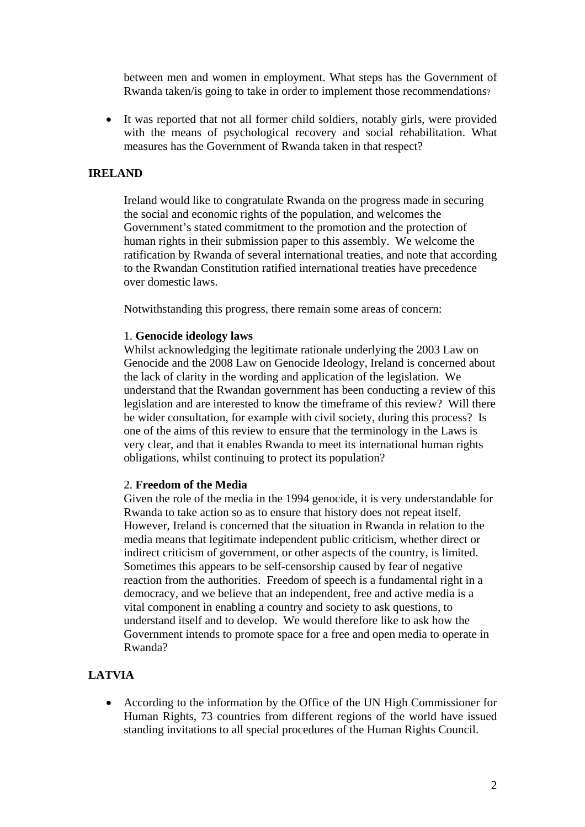between men and women in employment. What steps has the Government of Rwanda taken/is going to take in order to implement those recommendations?

• It was reported that not all former child soldiers, notably girls, were provided with the means of psychological recovery and social rehabilitation. What measures has the Government of Rwanda taken in that respect?

### **IRELAND**

Ireland would like to congratulate Rwanda on the progress made in securing the social and economic rights of the population, and welcomes the Government's stated commitment to the promotion and the protection of human rights in their submission paper to this assembly. We welcome the ratification by Rwanda of several international treaties, and note that according to the Rwandan Constitution ratified international treaties have precedence over domestic laws.

Notwithstanding this progress, there remain some areas of concern:

#### 1. **Genocide ideology laws**

Whilst acknowledging the legitimate rationale underlying the 2003 Law on Genocide and the 2008 Law on Genocide Ideology, Ireland is concerned about the lack of clarity in the wording and application of the legislation. We understand that the Rwandan government has been conducting a review of this legislation and are interested to know the timeframe of this review? Will there be wider consultation, for example with civil society, during this process? Is one of the aims of this review to ensure that the terminology in the Laws is very clear, and that it enables Rwanda to meet its international human rights obligations, whilst continuing to protect its population?

#### 2. **Freedom of the Media**

Given the role of the media in the 1994 genocide, it is very understandable for Rwanda to take action so as to ensure that history does not repeat itself. However, Ireland is concerned that the situation in Rwanda in relation to the media means that legitimate independent public criticism, whether direct or indirect criticism of government, or other aspects of the country, is limited. Sometimes this appears to be self-censorship caused by fear of negative reaction from the authorities. Freedom of speech is a fundamental right in a democracy, and we believe that an independent, free and active media is a vital component in enabling a country and society to ask questions, to understand itself and to develop. We would therefore like to ask how the Government intends to promote space for a free and open media to operate in Rwanda?

### **LATVIA**

• According to the information by the Office of the UN High Commissioner for Human Rights, 73 countries from different regions of the world have issued standing invitations to all special procedures of the Human Rights Council.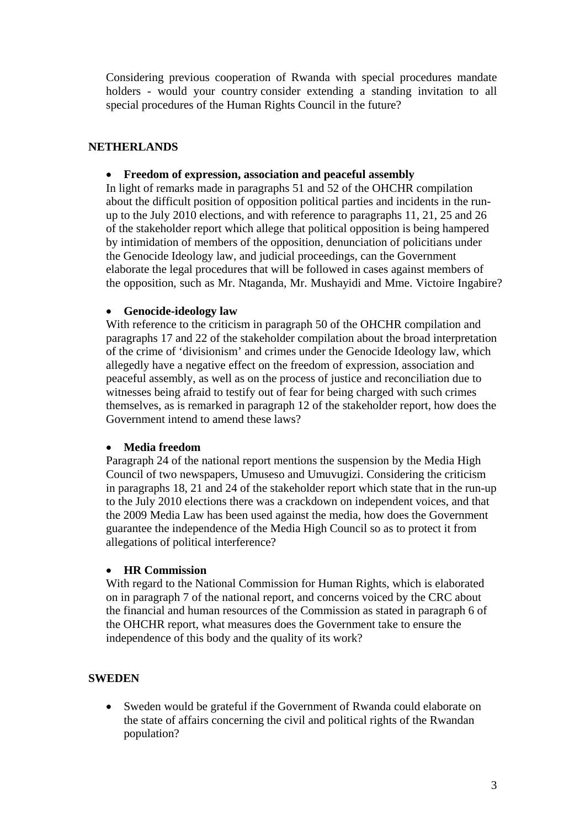Considering previous cooperation of Rwanda with special procedures mandate holders - would your country consider extending a standing invitation to all special procedures of the Human Rights Council in the future?

## **NETHERLANDS**

### • **Freedom of expression, association and peaceful assembly**

In light of remarks made in paragraphs 51 and 52 of the OHCHR compilation about the difficult position of opposition political parties and incidents in the runup to the July 2010 elections, and with reference to paragraphs 11, 21, 25 and 26 of the stakeholder report which allege that political opposition is being hampered by intimidation of members of the opposition, denunciation of policitians under the Genocide Ideology law, and judicial proceedings, can the Government elaborate the legal procedures that will be followed in cases against members of the opposition, such as Mr. Ntaganda, Mr. Mushayidi and Mme. Victoire Ingabire?

## • **Genocide-ideology law**

With reference to the criticism in paragraph 50 of the OHCHR compilation and paragraphs 17 and 22 of the stakeholder compilation about the broad interpretation of the crime of 'divisionism' and crimes under the Genocide Ideology law, which allegedly have a negative effect on the freedom of expression, association and peaceful assembly, as well as on the process of justice and reconciliation due to witnesses being afraid to testify out of fear for being charged with such crimes themselves, as is remarked in paragraph 12 of the stakeholder report, how does the Government intend to amend these laws?

## • **Media freedom**

Paragraph 24 of the national report mentions the suspension by the Media High Council of two newspapers, Umuseso and Umuvugizi. Considering the criticism in paragraphs 18, 21 and 24 of the stakeholder report which state that in the run-up to the July 2010 elections there was a crackdown on independent voices, and that the 2009 Media Law has been used against the media, how does the Government guarantee the independence of the Media High Council so as to protect it from allegations of political interference?

## • **HR Commission**

With regard to the National Commission for Human Rights, which is elaborated on in paragraph 7 of the national report, and concerns voiced by the CRC about the financial and human resources of the Commission as stated in paragraph 6 of the OHCHR report, what measures does the Government take to ensure the independence of this body and the quality of its work?

## **SWEDEN**

• Sweden would be grateful if the Government of Rwanda could elaborate on the state of affairs concerning the civil and political rights of the Rwandan population?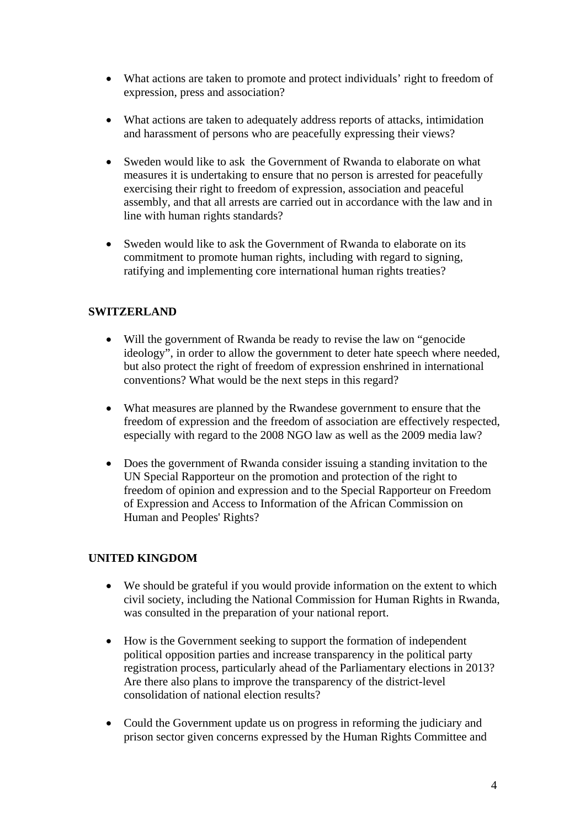- What actions are taken to promote and protect individuals' right to freedom of expression, press and association?
- What actions are taken to adequately address reports of attacks, intimidation and harassment of persons who are peacefully expressing their views?
- Sweden would like to ask the Government of Rwanda to elaborate on what measures it is undertaking to ensure that no person is arrested for peacefully exercising their right to freedom of expression, association and peaceful assembly, and that all arrests are carried out in accordance with the law and in line with human rights standards?
- Sweden would like to ask the Government of Rwanda to elaborate on its commitment to promote human rights, including with regard to signing, ratifying and implementing core international human rights treaties?

# **SWITZERLAND**

- Will the government of Rwanda be ready to revise the law on "genocide" ideology", in order to allow the government to deter hate speech where needed, but also protect the right of freedom of expression enshrined in international conventions? What would be the next steps in this regard?
- What measures are planned by the Rwandese government to ensure that the freedom of expression and the freedom of association are effectively respected, especially with regard to the 2008 NGO law as well as the 2009 media law?
- Does the government of Rwanda consider issuing a standing invitation to the UN Special Rapporteur on the promotion and protection of the right to freedom of opinion and expression and to the Special Rapporteur on Freedom of Expression and Access to Information of the African Commission on Human and Peoples' Rights?

## **UNITED KINGDOM**

- We should be grateful if you would provide information on the extent to which civil society, including the National Commission for Human Rights in Rwanda, was consulted in the preparation of your national report.
- How is the Government seeking to support the formation of independent political opposition parties and increase transparency in the political party registration process, particularly ahead of the Parliamentary elections in 2013? Are there also plans to improve the transparency of the district-level consolidation of national election results?
- Could the Government update us on progress in reforming the judiciary and prison sector given concerns expressed by the Human Rights Committee and